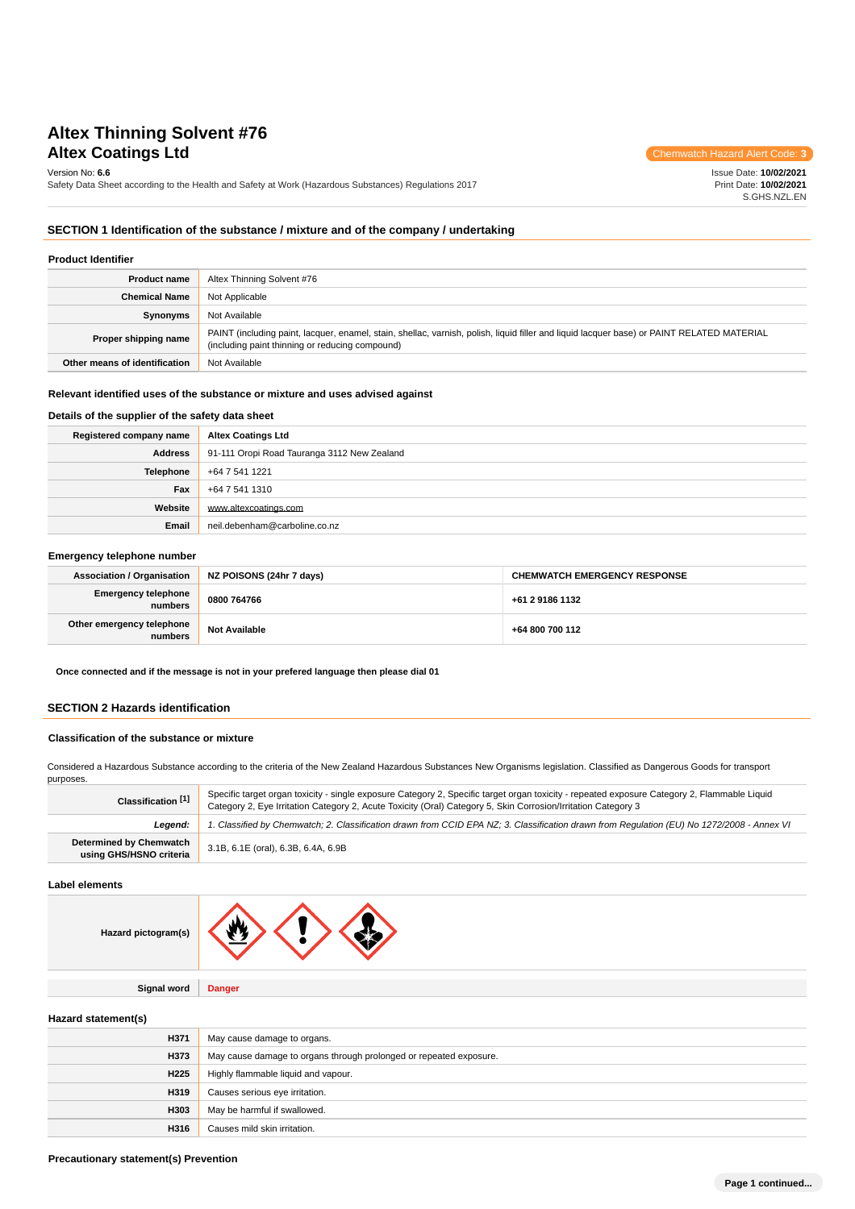# **Altex Thinning Solvent #76 Altex Coatings Ltd** Chemwatch Hazard Alert Code: 3

Version No: **6.6**

Safety Data Sheet according to the Health and Safety at Work (Hazardous Substances) Regulations 2017

Issue Date: **10/02/2021** Print Date: **10/02/2021** S.GHS.NZL.EN

# **SECTION 1 Identification of the substance / mixture and of the company / undertaking**

| <b>Product Identifier</b>     |                                                                                                                                                                                               |
|-------------------------------|-----------------------------------------------------------------------------------------------------------------------------------------------------------------------------------------------|
| <b>Product name</b>           | Altex Thinning Solvent #76                                                                                                                                                                    |
| <b>Chemical Name</b>          | Not Applicable                                                                                                                                                                                |
| Synonyms                      | Not Available                                                                                                                                                                                 |
| Proper shipping name          | PAINT (including paint, lacquer, enamel, stain, shellac, varnish, polish, liquid filler and liquid lacquer base) or PAINT RELATED MATERIAL<br>(including paint thinning or reducing compound) |
| Other means of identification | Not Available                                                                                                                                                                                 |

### **Relevant identified uses of the substance or mixture and uses advised against**

# **Details of the supplier of the safety data sheet**

| Registered company name | <b>Altex Coatings Ltd</b>                   |
|-------------------------|---------------------------------------------|
| Address                 | 91-111 Oropi Road Tauranga 3112 New Zealand |
| Telephone               | +64 7 541 1221                              |
| Fax                     | +64 7 541 1310                              |
| Website                 | www.altexcoatings.com                       |
| Email                   | neil.debenham@carboline.co.nz               |

# **Emergency telephone number**

| <b>Association / Organisation</b>     | NZ POISONS (24hr 7 days) | <b>CHEMWATCH EMERGENCY RESPONSE</b> |
|---------------------------------------|--------------------------|-------------------------------------|
| <b>Emergency telephone</b><br>numbers | 0800 764766              | +61 2 9186 1132                     |
| Other emergency telephone<br>numbers  | <b>Not Available</b>     | +64 800 700 112                     |

**Once connected and if the message is not in your prefered language then please dial 01**

### **SECTION 2 Hazards identification**

# **Classification of the substance or mixture**

Considered a Hazardous Substance according to the criteria of the New Zealand Hazardous Substances New Organisms legislation. Classified as Dangerous Goods for transport

| purposes.                                                 |                                                                                                                                                                                                                                                               |
|-----------------------------------------------------------|---------------------------------------------------------------------------------------------------------------------------------------------------------------------------------------------------------------------------------------------------------------|
| Classification [1]                                        | Specific target organ toxicity - single exposure Category 2, Specific target organ toxicity - repeated exposure Category 2, Flammable Liquid<br>Category 2, Eye Irritation Category 2, Acute Toxicity (Oral) Category 5, Skin Corrosion/Irritation Category 3 |
| Leaend:                                                   | 1. Classified by Chemwatch; 2. Classification drawn from CCID EPA NZ; 3. Classification drawn from Requlation (EU) No 1272/2008 - Annex VI                                                                                                                    |
| <b>Determined by Chemwatch</b><br>using GHS/HSNO criteria | 3.1B, 6.1E (oral), 6.3B, 6.4A, 6.9B                                                                                                                                                                                                                           |

### **Label elements**

**Signal word Danger**

**Hazard statement(s)**

**Hazard** 

| H371             | May cause damage to organs.                                        |
|------------------|--------------------------------------------------------------------|
| H373             | May cause damage to organs through prolonged or repeated exposure. |
| H <sub>225</sub> | Highly flammable liquid and vapour.                                |
| H319             | Causes serious eye irritation.                                     |
| H303             | May be harmful if swallowed.                                       |
| H316             | Causes mild skin irritation.                                       |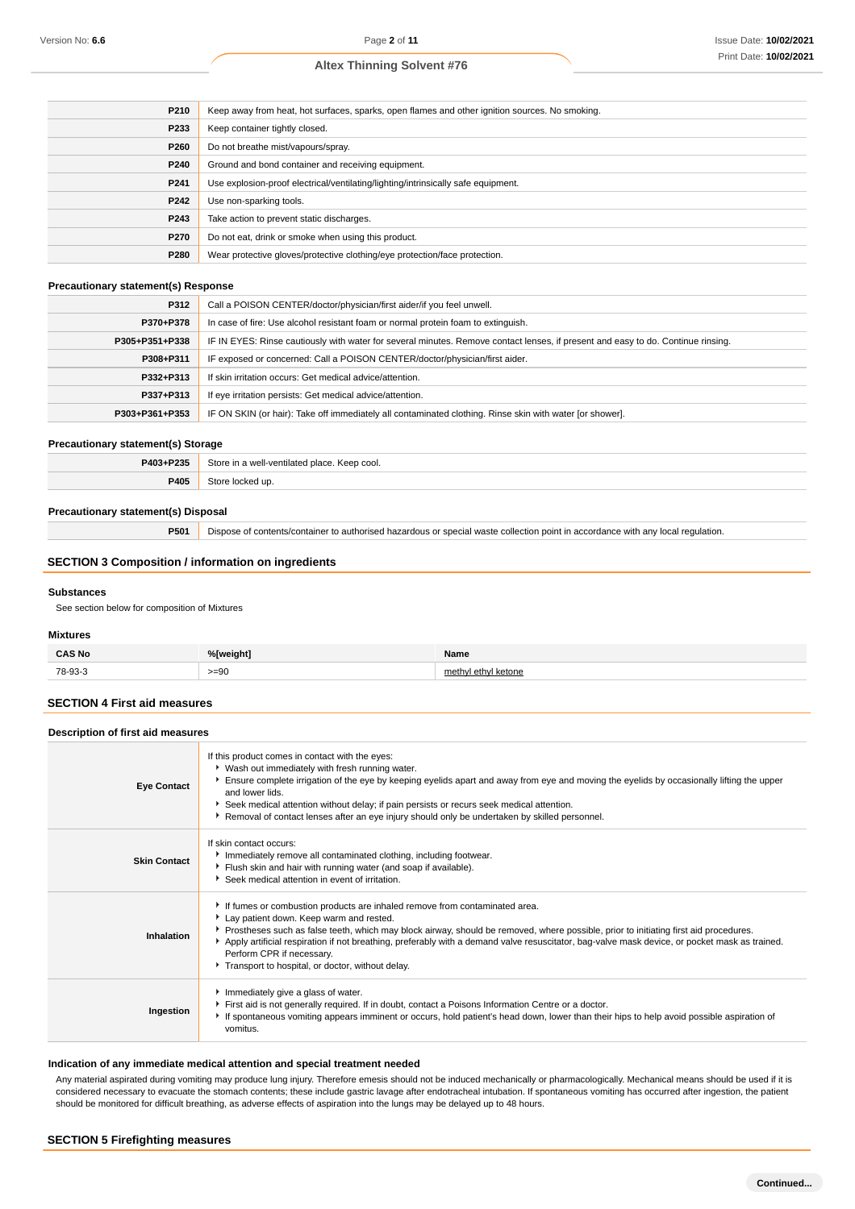| P210 | Keep away from heat, hot surfaces, sparks, open flames and other ignition sources. No smoking. |
|------|------------------------------------------------------------------------------------------------|
| P233 | Keep container tightly closed.                                                                 |
| P260 | Do not breathe mist/vapours/spray.                                                             |
| P240 | Ground and bond container and receiving equipment.                                             |
| P241 | Use explosion-proof electrical/ventilating/lighting/intrinsically safe equipment.              |
| P242 | Use non-sparking tools.                                                                        |
| P243 | Take action to prevent static discharges.                                                      |
| P270 | Do not eat, drink or smoke when using this product.                                            |
| P280 | Wear protective gloves/protective clothing/eye protection/face protection.                     |

### **Precautionary statement(s) Response**

| P312           | Call a POISON CENTER/doctor/physician/first aider/if you feel unwell.                                                            |
|----------------|----------------------------------------------------------------------------------------------------------------------------------|
| P370+P378      | In case of fire: Use alcohol resistant foam or normal protein foam to extinguish.                                                |
| P305+P351+P338 | IF IN EYES: Rinse cautiously with water for several minutes. Remove contact lenses, if present and easy to do. Continue rinsing. |
| P308+P311      | IF exposed or concerned: Call a POISON CENTER/doctor/physician/first aider.                                                      |
| P332+P313      | If skin irritation occurs: Get medical advice/attention.                                                                         |
| P337+P313      | If eye irritation persists: Get medical advice/attention.                                                                        |
| P303+P361+P353 | IF ON SKIN (or hair): Take off immediately all contaminated clothing. Rinse skin with water [or shower].                         |

### **Precautionary statement(s) Storage**

| <b>DOOF</b><br><b>DA02.</b> | - 10<br>cool.<br>$10^{4}$<br>$.$ $\alpha$<br>. |
|-----------------------------|------------------------------------------------|
| ייטי<br>᠇៴<br>.             | .                                              |

# **Precautionary statement(s) Disposal**

**P501** Dispose of contents/container to authorised hazardous or special waste collection point in accordance with any local regulation.

# **SECTION 3 Composition / information on ingredients**

### **Substances**

See section below for composition of Mixtures

### **Mixtures**

| ີ SNO<br>$\cdots$                                                                                                          | - - -<br>'Jweiahti                         | Name |
|----------------------------------------------------------------------------------------------------------------------------|--------------------------------------------|------|
| 78-03-3<br>the contract of the contract of the contract of the contract of the contract of the contract of the contract of | $\sim$<br>-- 39<br>$\sim$<br>$\sim$ $\sim$ |      |

# **SECTION 4 First aid measures**

### **Description of first aid measures**

| <b>Eye Contact</b>  | If this product comes in contact with the eyes:<br>• Wash out immediately with fresh running water.<br>Ensure complete irrigation of the eye by keeping eyelids apart and away from eye and moving the eyelids by occasionally lifting the upper<br>and lower lids.<br>Seek medical attention without delay; if pain persists or recurs seek medical attention.<br>▶ Removal of contact lenses after an eye injury should only be undertaken by skilled personnel.                              |
|---------------------|-------------------------------------------------------------------------------------------------------------------------------------------------------------------------------------------------------------------------------------------------------------------------------------------------------------------------------------------------------------------------------------------------------------------------------------------------------------------------------------------------|
| <b>Skin Contact</b> | If skin contact occurs:<br>Inmediately remove all contaminated clothing, including footwear.<br>Flush skin and hair with running water (and soap if available).<br>Seek medical attention in event of irritation.                                                                                                                                                                                                                                                                               |
| Inhalation          | If fumes or combustion products are inhaled remove from contaminated area.<br>Lay patient down. Keep warm and rested.<br>Prostheses such as false teeth, which may block airway, should be removed, where possible, prior to initiating first aid procedures.<br>Apply artificial respiration if not breathing, preferably with a demand valve resuscitator, bag-valve mask device, or pocket mask as trained.<br>Perform CPR if necessary.<br>Transport to hospital, or doctor, without delay. |
| Ingestion           | Immediately give a glass of water.<br>First aid is not generally required. If in doubt, contact a Poisons Information Centre or a doctor.<br>If spontaneous vomiting appears imminent or occurs, hold patient's head down, lower than their hips to help avoid possible aspiration of<br>vomitus.                                                                                                                                                                                               |

### **Indication of any immediate medical attention and special treatment needed**

Any material aspirated during vomiting may produce lung injury. Therefore emesis should not be induced mechanically or pharmacologically. Mechanical means should be used if it is considered necessary to evacuate the stomach contents; these include gastric lavage after endotracheal intubation. If spontaneous vomiting has occurred after ingestion, the patient should be monitored for difficult breathing, as adverse effects of aspiration into the lungs may be delayed up to 48 hours.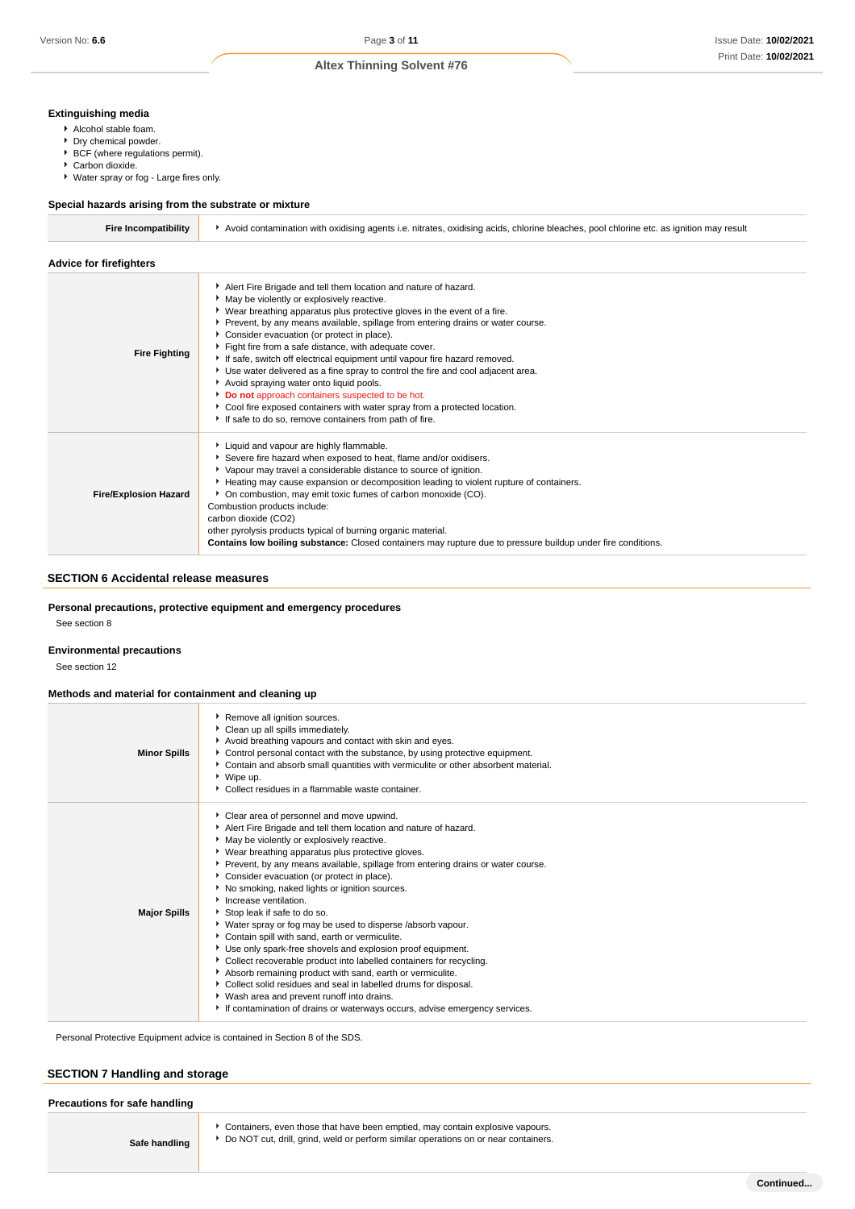# **Extinguishing media**

- Alcohol stable foam.
- Dry chemical powder.
- $\blacktriangleright$  BCF (where regulations permit).
- ▶ Carbon dioxide.
- Water spray or fog Large fires only.

### **Special hazards arising from the substrate or mixture**

| Fire Incompatibility | Avoid contamination with oxidising agents i.e. nitrates, oxidising acids, chlorine bleaches, pool chlorine etc. as ignition may result |  |
|----------------------|----------------------------------------------------------------------------------------------------------------------------------------|--|
|                      |                                                                                                                                        |  |

| <b>Advice for firefighters</b> |                                                                                                                                                                                                                                                                                                                                                                                                                                                                                                                                                                                                                                                                                                                                                                                            |
|--------------------------------|--------------------------------------------------------------------------------------------------------------------------------------------------------------------------------------------------------------------------------------------------------------------------------------------------------------------------------------------------------------------------------------------------------------------------------------------------------------------------------------------------------------------------------------------------------------------------------------------------------------------------------------------------------------------------------------------------------------------------------------------------------------------------------------------|
| <b>Fire Fighting</b>           | Alert Fire Brigade and tell them location and nature of hazard.<br>May be violently or explosively reactive.<br>• Wear breathing apparatus plus protective gloves in the event of a fire.<br>▶ Prevent, by any means available, spillage from entering drains or water course.<br>Consider evacuation (or protect in place).<br>Fight fire from a safe distance, with adequate cover.<br>If safe, switch off electrical equipment until vapour fire hazard removed.<br>Use water delivered as a fine spray to control the fire and cool adjacent area.<br>Avoid spraying water onto liquid pools.<br>Do not approach containers suspected to be hot.<br>Cool fire exposed containers with water spray from a protected location.<br>If safe to do so, remove containers from path of fire. |
| <b>Fire/Explosion Hazard</b>   | Liquid and vapour are highly flammable.<br>Severe fire hazard when exposed to heat, flame and/or oxidisers.<br>• Vapour may travel a considerable distance to source of ignition.<br>Heating may cause expansion or decomposition leading to violent rupture of containers.<br>• On combustion, may emit toxic fumes of carbon monoxide (CO).<br>Combustion products include:<br>carbon dioxide (CO2)<br>other pyrolysis products typical of burning organic material.<br><b>Contains low boiling substance:</b> Closed containers may rupture due to pressure buildup under fire conditions.                                                                                                                                                                                              |

# **SECTION 6 Accidental release measures**

**Personal precautions, protective equipment and emergency procedures**

See section 8

### **Environmental precautions**

See section 12

### **Methods and material for containment and cleaning up**

| <b>Minor Spills</b> | Remove all ignition sources.<br>Clean up all spills immediately.<br>Avoid breathing vapours and contact with skin and eyes.<br>Control personal contact with the substance, by using protective equipment.<br>Contain and absorb small quantities with vermiculite or other absorbent material.<br>▶ Wipe up.<br>▶ Collect residues in a flammable waste container.                                                                                                                                                                                                                                                                                                                                                                                                                                                                                                                                                                                                          |
|---------------------|------------------------------------------------------------------------------------------------------------------------------------------------------------------------------------------------------------------------------------------------------------------------------------------------------------------------------------------------------------------------------------------------------------------------------------------------------------------------------------------------------------------------------------------------------------------------------------------------------------------------------------------------------------------------------------------------------------------------------------------------------------------------------------------------------------------------------------------------------------------------------------------------------------------------------------------------------------------------------|
| <b>Major Spills</b> | Clear area of personnel and move upwind.<br>Alert Fire Brigade and tell them location and nature of hazard.<br>May be violently or explosively reactive.<br>▶ Wear breathing apparatus plus protective gloves.<br>Prevent, by any means available, spillage from entering drains or water course.<br>Consider evacuation (or protect in place).<br>No smoking, naked lights or ignition sources.<br>Increase ventilation.<br>Stop leak if safe to do so.<br>• Water spray or fog may be used to disperse /absorb vapour.<br>Contain spill with sand, earth or vermiculite.<br>Use only spark-free shovels and explosion proof equipment.<br>Collect recoverable product into labelled containers for recycling.<br>Absorb remaining product with sand, earth or vermiculite.<br>Collect solid residues and seal in labelled drums for disposal.<br>▶ Wash area and prevent runoff into drains.<br>If contamination of drains or waterways occurs, advise emergency services. |

Personal Protective Equipment advice is contained in Section 8 of the SDS.

# **SECTION 7 Handling and storage**

| Precautions for safe handling |                                                                                                                                                                        |
|-------------------------------|------------------------------------------------------------------------------------------------------------------------------------------------------------------------|
| Safe handling                 | Containers, even those that have been emptied, may contain explosive vapours.<br>* Do NOT cut, drill, grind, weld or perform similar operations on or near containers. |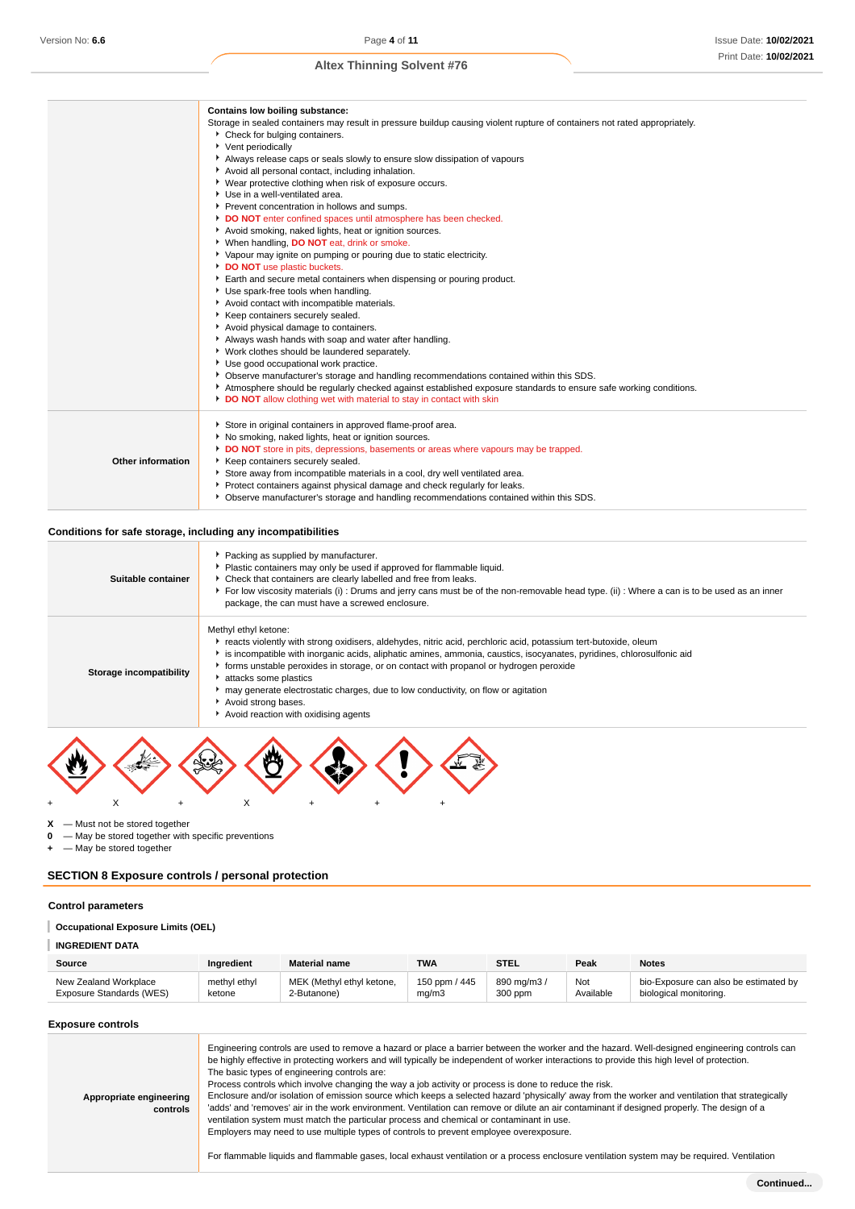|                   | <b>Contains low boiling substance:</b>                                                                                     |
|-------------------|----------------------------------------------------------------------------------------------------------------------------|
|                   | Storage in sealed containers may result in pressure buildup causing violent rupture of containers not rated appropriately. |
|                   | ▶ Check for bulging containers.                                                                                            |
|                   | ▶ Vent periodically                                                                                                        |
|                   | Always release caps or seals slowly to ensure slow dissipation of vapours                                                  |
|                   | Avoid all personal contact, including inhalation.                                                                          |
|                   | ▶ Wear protective clothing when risk of exposure occurs.                                                                   |
|                   | ▶ Use in a well-ventilated area.                                                                                           |
|                   | Prevent concentration in hollows and sumps.                                                                                |
|                   | DO NOT enter confined spaces until atmosphere has been checked.                                                            |
|                   | Avoid smoking, naked lights, heat or ignition sources.                                                                     |
|                   | * When handling, DO NOT eat, drink or smoke.                                                                               |
|                   | ▶ Vapour may ignite on pumping or pouring due to static electricity.                                                       |
|                   | DO NOT use plastic buckets.                                                                                                |
|                   | Earth and secure metal containers when dispensing or pouring product.                                                      |
|                   | Use spark-free tools when handling.                                                                                        |
|                   | Avoid contact with incompatible materials.                                                                                 |
|                   | Keep containers securely sealed.                                                                                           |
|                   | Avoid physical damage to containers.                                                                                       |
|                   | Always wash hands with soap and water after handling.                                                                      |
|                   | Vork clothes should be laundered separately.                                                                               |
|                   | Use good occupational work practice.                                                                                       |
|                   | • Observe manufacturer's storage and handling recommendations contained within this SDS.                                   |
|                   | Atmosphere should be regularly checked against established exposure standards to ensure safe working conditions.           |
|                   | DO NOT allow clothing wet with material to stay in contact with skin                                                       |
|                   | Store in original containers in approved flame-proof area.                                                                 |
|                   | No smoking, naked lights, heat or ignition sources.                                                                        |
|                   | DO NOT store in pits, depressions, basements or areas where vapours may be trapped.                                        |
| Other information | Keep containers securely sealed.                                                                                           |
|                   | Store away from incompatible materials in a cool, dry well ventilated area.                                                |
|                   | ▶ Protect containers against physical damage and check regularly for leaks.                                                |
|                   | • Observe manufacturer's storage and handling recommendations contained within this SDS.                                   |
|                   |                                                                                                                            |

# **Conditions for safe storage, including any incompatibilities**

| Suitable container      | ▶ Packing as supplied by manufacturer.<br>Plastic containers may only be used if approved for flammable liquid.<br>• Check that containers are clearly labelled and free from leaks.<br>For low viscosity materials (i): Drums and jerry cans must be of the non-removable head type. (ii): Where a can is to be used as an inner<br>package, the can must have a screwed enclosure.                                                                                                                                                   |  |  |  |
|-------------------------|----------------------------------------------------------------------------------------------------------------------------------------------------------------------------------------------------------------------------------------------------------------------------------------------------------------------------------------------------------------------------------------------------------------------------------------------------------------------------------------------------------------------------------------|--|--|--|
| Storage incompatibility | Methyl ethyl ketone:<br>reacts violently with strong oxidisers, aldehydes, nitric acid, perchloric acid, potassium tert-butoxide, oleum<br>is incompatible with inorganic acids, aliphatic amines, ammonia, caustics, isocyanates, pyridines, chlorosulfonic aid<br>forms unstable peroxides in storage, or on contact with propanol or hydrogen peroxide<br>attacks some plastics<br>may generate electrostatic charges, due to low conductivity, on flow or agitation<br>Avoid strong bases.<br>Avoid reaction with oxidising agents |  |  |  |
|                         |                                                                                                                                                                                                                                                                                                                                                                                                                                                                                                                                        |  |  |  |



**X** — Must not be stored together

**0** — May be stored together with specific preventions

**+** — May be stored together

# **SECTION 8 Exposure controls / personal protection**

### **Control parameters**

# **Occupational Exposure Limits (OEL)**

# **INGREDIENT DATA**

| Source                   | Ingredient   | <b>Material name</b>      | TWA           | STEL       | Peak      | <b>Notes</b>                          |
|--------------------------|--------------|---------------------------|---------------|------------|-----------|---------------------------------------|
| New Zealand Workplace    | methyl ethyl | MEK (Methyl ethyl ketone, | 150 ppm / 445 | 890 mg/m3, | Not       | bio-Exposure can also be estimated by |
| Exposure Standards (WES) | ketone       | 2-Butanone)               | mq/m3         | 300 ppm    | Available | biological monitoring.                |

### **Exposure controls**

| Appropriate engineering<br>controls | Engineering controls are used to remove a hazard or place a barrier between the worker and the hazard. Well-designed engineering controls can<br>be highly effective in protecting workers and will typically be independent of worker interactions to provide this high level of protection.<br>The basic types of engineering controls are:<br>Process controls which involve changing the way a job activity or process is done to reduce the risk.<br>Enclosure and/or isolation of emission source which keeps a selected hazard 'physically' away from the worker and ventilation that strategically<br>'adds' and 'removes' air in the work environment. Ventilation can remove or dilute an air contaminant if designed properly. The design of a<br>ventilation system must match the particular process and chemical or contaminant in use.<br>Employers may need to use multiple types of controls to prevent employee overexposure.<br>For flammable liquids and flammable gases, local exhaust ventilation or a process enclosure ventilation system may be required. Ventilation |
|-------------------------------------|------------------------------------------------------------------------------------------------------------------------------------------------------------------------------------------------------------------------------------------------------------------------------------------------------------------------------------------------------------------------------------------------------------------------------------------------------------------------------------------------------------------------------------------------------------------------------------------------------------------------------------------------------------------------------------------------------------------------------------------------------------------------------------------------------------------------------------------------------------------------------------------------------------------------------------------------------------------------------------------------------------------------------------------------------------------------------------------------|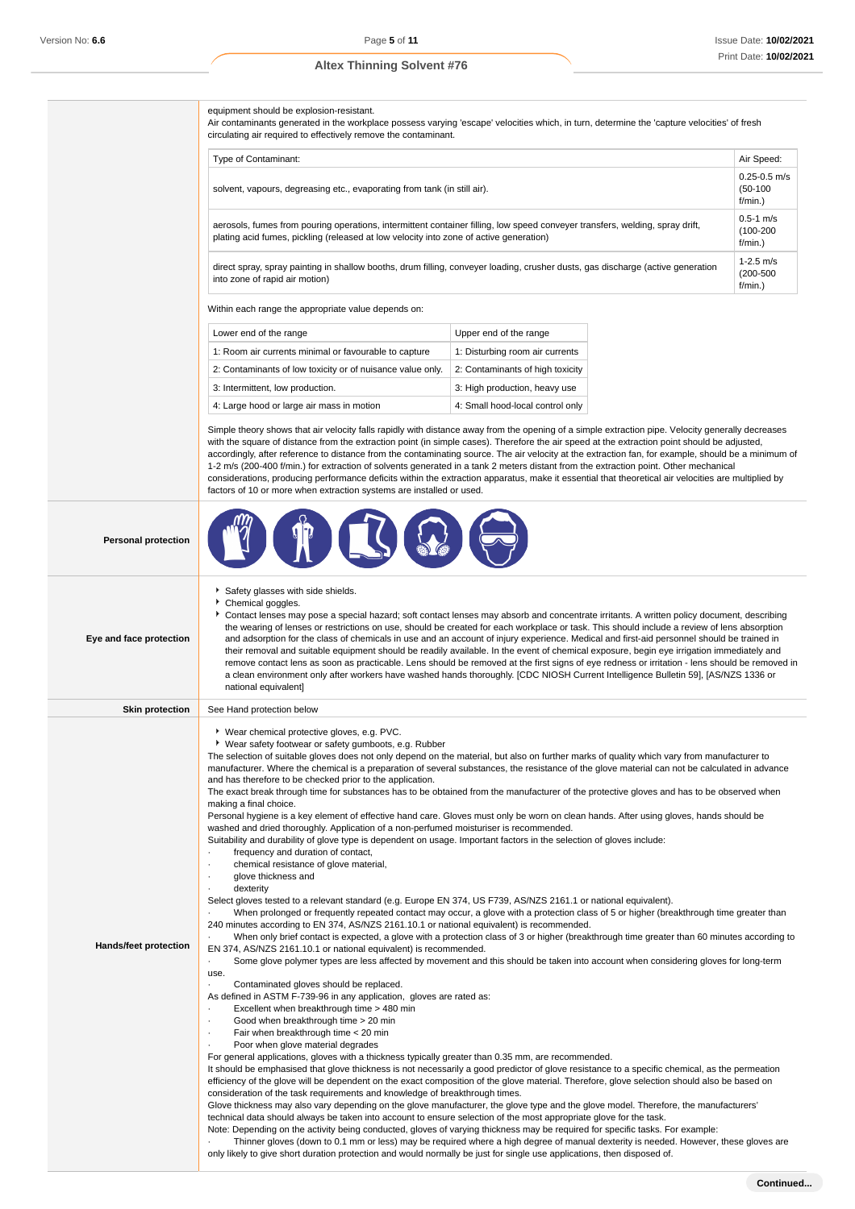equipment should be explosion-resistant.

Air contaminants generated in the workplace possess varying 'escape' velocities which, in turn, determine the 'capture velocities' of fresh circulating air required to effectively remove the contaminant.

| Type of Contaminant:                                                                                                                                                                                                   | Air Speed:                                   |
|------------------------------------------------------------------------------------------------------------------------------------------------------------------------------------------------------------------------|----------------------------------------------|
| solvent, vapours, degreasing etc., evaporating from tank (in still air).                                                                                                                                               | $0.25 - 0.5$ m/s<br>$(50-100)$<br>$f/min.$ ) |
| aerosols, fumes from pouring operations, intermittent container filling, low speed conveyer transfers, welding, spray drift,<br>plating acid fumes, pickling (released at low velocity into zone of active generation) | $0.5 - 1$ m/s<br>$(100-200)$<br>$f/min.$ )   |
| direct spray, spray painting in shallow booths, drum filling, conveyer loading, crusher dusts, gas discharge (active generation<br>into zone of rapid air motion)                                                      | $1 - 2.5$ m/s<br>$(200 - 500)$<br>$f/min.$ ) |

Within each range the appropriate value depends on:

| Lower end of the range                                     | Upper end of the range           |
|------------------------------------------------------------|----------------------------------|
| 1: Room air currents minimal or favourable to capture      | 1: Disturbing room air currents  |
| 2: Contaminants of low toxicity or of nuisance value only. | 2: Contaminants of high toxicity |
| 3: Intermittent, low production.                           | 3: High production, heavy use    |
| 4: Large hood or large air mass in motion                  | 4: Small hood-local control only |

Simple theory shows that air velocity falls rapidly with distance away from the opening of a simple extraction pipe. Velocity generally decreases with the square of distance from the extraction point (in simple cases). Therefore the air speed at the extraction point should be adjusted, accordingly, after reference to distance from the contaminating source. The air velocity at the extraction fan, for example, should be a minimum of 1-2 m/s (200-400 f/min.) for extraction of solvents generated in a tank 2 meters distant from the extraction point. Other mechanical considerations, producing performance deficits within the extraction apparatus, make it essential that theoretical air velocities are multiplied by factors of 10 or more when extraction systems are installed or used.

| <b>Personal protection</b> |                                                                                                                                                                                                                                                                                                                                                                                                                                                                                                                                                                                                                                                                                                                                                                                                                                                                                                                                                                                                                                                                                                                                                                                                                                                                                                                                                                                                                                                                                                                                                                                                                                                                                                                                                                                                                                                                                                                                                                                                                                                                                                                                                                                                                                                                                                                                                                                                                                                                                                                                                                                                                                                                                                                                                                                                                                                                                                                                                                                                                                                                                                                                                                                               |
|----------------------------|-----------------------------------------------------------------------------------------------------------------------------------------------------------------------------------------------------------------------------------------------------------------------------------------------------------------------------------------------------------------------------------------------------------------------------------------------------------------------------------------------------------------------------------------------------------------------------------------------------------------------------------------------------------------------------------------------------------------------------------------------------------------------------------------------------------------------------------------------------------------------------------------------------------------------------------------------------------------------------------------------------------------------------------------------------------------------------------------------------------------------------------------------------------------------------------------------------------------------------------------------------------------------------------------------------------------------------------------------------------------------------------------------------------------------------------------------------------------------------------------------------------------------------------------------------------------------------------------------------------------------------------------------------------------------------------------------------------------------------------------------------------------------------------------------------------------------------------------------------------------------------------------------------------------------------------------------------------------------------------------------------------------------------------------------------------------------------------------------------------------------------------------------------------------------------------------------------------------------------------------------------------------------------------------------------------------------------------------------------------------------------------------------------------------------------------------------------------------------------------------------------------------------------------------------------------------------------------------------------------------------------------------------------------------------------------------------------------------------------------------------------------------------------------------------------------------------------------------------------------------------------------------------------------------------------------------------------------------------------------------------------------------------------------------------------------------------------------------------------------------------------------------------------------------------------------------------|
| Eye and face protection    | Safety glasses with side shields.<br>Chemical goggles.<br>Contact lenses may pose a special hazard; soft contact lenses may absorb and concentrate irritants. A written policy document, describing<br>the wearing of lenses or restrictions on use, should be created for each workplace or task. This should include a review of lens absorption<br>and adsorption for the class of chemicals in use and an account of injury experience. Medical and first-aid personnel should be trained in<br>their removal and suitable equipment should be readily available. In the event of chemical exposure, begin eye irrigation immediately and<br>remove contact lens as soon as practicable. Lens should be removed at the first signs of eye redness or irritation - lens should be removed in<br>a clean environment only after workers have washed hands thoroughly. [CDC NIOSH Current Intelligence Bulletin 59], [AS/NZS 1336 or<br>national equivalent]                                                                                                                                                                                                                                                                                                                                                                                                                                                                                                                                                                                                                                                                                                                                                                                                                                                                                                                                                                                                                                                                                                                                                                                                                                                                                                                                                                                                                                                                                                                                                                                                                                                                                                                                                                                                                                                                                                                                                                                                                                                                                                                                                                                                                                 |
| <b>Skin protection</b>     | See Hand protection below                                                                                                                                                                                                                                                                                                                                                                                                                                                                                                                                                                                                                                                                                                                                                                                                                                                                                                                                                                                                                                                                                                                                                                                                                                                                                                                                                                                                                                                                                                                                                                                                                                                                                                                                                                                                                                                                                                                                                                                                                                                                                                                                                                                                                                                                                                                                                                                                                                                                                                                                                                                                                                                                                                                                                                                                                                                                                                                                                                                                                                                                                                                                                                     |
| Hands/feet protection      | ▶ Wear chemical protective gloves, e.g. PVC.<br>▶ Wear safety footwear or safety gumboots, e.g. Rubber<br>The selection of suitable gloves does not only depend on the material, but also on further marks of quality which vary from manufacturer to<br>manufacturer. Where the chemical is a preparation of several substances, the resistance of the glove material can not be calculated in advance<br>and has therefore to be checked prior to the application.<br>The exact break through time for substances has to be obtained from the manufacturer of the protective gloves and has to be observed when<br>making a final choice.<br>Personal hygiene is a key element of effective hand care. Gloves must only be worn on clean hands. After using gloves, hands should be<br>washed and dried thoroughly. Application of a non-perfumed moisturiser is recommended.<br>Suitability and durability of glove type is dependent on usage. Important factors in the selection of gloves include:<br>frequency and duration of contact,<br>chemical resistance of glove material,<br>٠<br>glove thickness and<br>٠<br>dexterity<br>Select gloves tested to a relevant standard (e.g. Europe EN 374, US F739, AS/NZS 2161.1 or national equivalent).<br>When prolonged or frequently repeated contact may occur, a glove with a protection class of 5 or higher (breakthrough time greater than<br>240 minutes according to EN 374, AS/NZS 2161.10.1 or national equivalent) is recommended.<br>When only brief contact is expected, a glove with a protection class of 3 or higher (breakthrough time greater than 60 minutes according to<br>EN 374, AS/NZS 2161.10.1 or national equivalent) is recommended.<br>Some glove polymer types are less affected by movement and this should be taken into account when considering gloves for long-term<br>×.<br>use.<br>Contaminated gloves should be replaced.<br>As defined in ASTM F-739-96 in any application, gloves are rated as:<br>Excellent when breakthrough time > 480 min<br>Good when breakthrough time > 20 min<br>Fair when breakthrough time < 20 min<br>Poor when glove material degrades<br>For general applications, gloves with a thickness typically greater than 0.35 mm, are recommended.<br>It should be emphasised that glove thickness is not necessarily a good predictor of glove resistance to a specific chemical, as the permeation<br>efficiency of the glove will be dependent on the exact composition of the glove material. Therefore, glove selection should also be based on<br>consideration of the task requirements and knowledge of breakthrough times.<br>Glove thickness may also vary depending on the glove manufacturer, the glove type and the glove model. Therefore, the manufacturers'<br>technical data should always be taken into account to ensure selection of the most appropriate glove for the task.<br>Note: Depending on the activity being conducted, gloves of varying thickness may be required for specific tasks. For example:<br>Thinner gloves (down to 0.1 mm or less) may be required where a high degree of manual dexterity is needed. However, these gloves are |

only likely to give short duration protection and would normally be just for single use applications, then disposed of.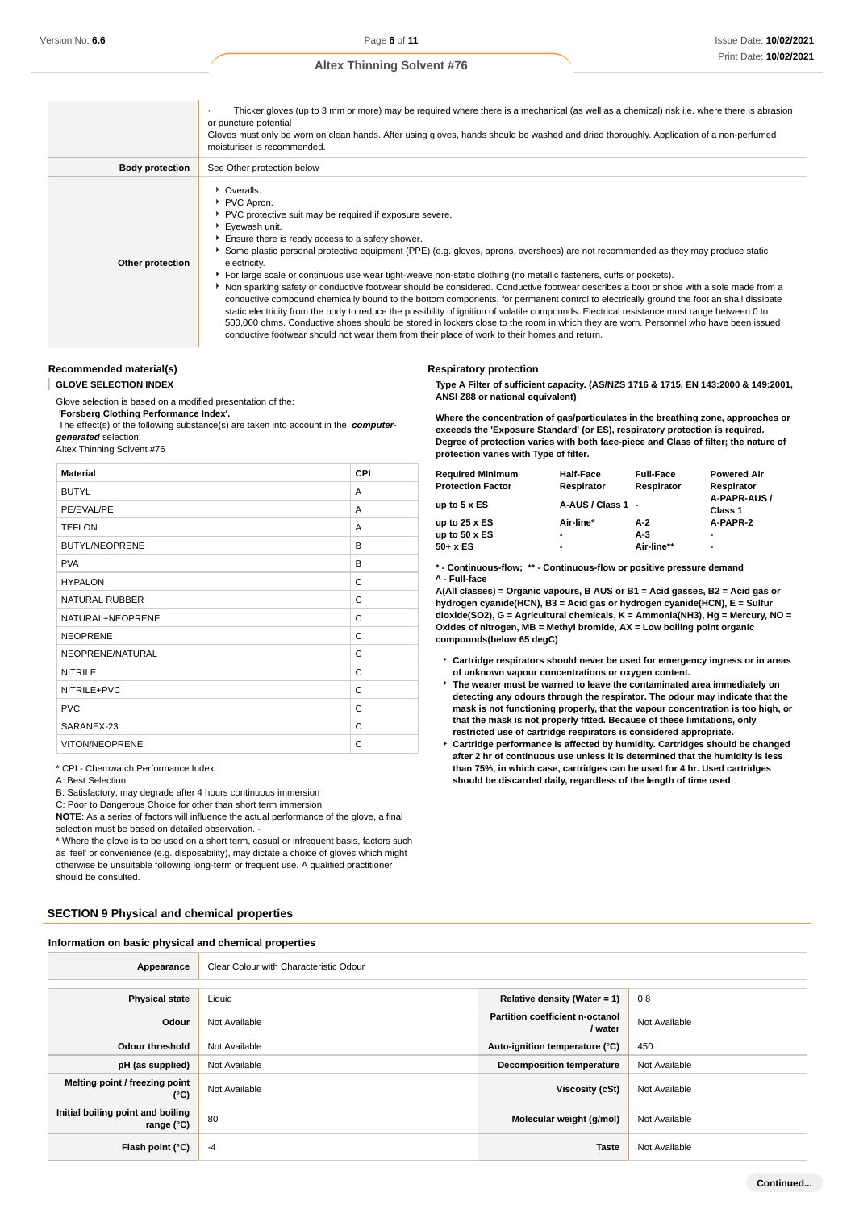|                        | Thicker gloves (up to 3 mm or more) may be required where there is a mechanical (as well as a chemical) risk i.e. where there is abrasion<br>or puncture potential<br>Gloves must only be worn on clean hands. After using gloves, hands should be washed and dried thoroughly. Application of a non-perfumed<br>moisturiser is recommended.                                                                                                                                                                                                                                                                                                                                                                                                                                                                                                                                                                                                                                                                                                                                                                         |
|------------------------|----------------------------------------------------------------------------------------------------------------------------------------------------------------------------------------------------------------------------------------------------------------------------------------------------------------------------------------------------------------------------------------------------------------------------------------------------------------------------------------------------------------------------------------------------------------------------------------------------------------------------------------------------------------------------------------------------------------------------------------------------------------------------------------------------------------------------------------------------------------------------------------------------------------------------------------------------------------------------------------------------------------------------------------------------------------------------------------------------------------------|
| <b>Body protection</b> | See Other protection below                                                                                                                                                                                                                                                                                                                                                                                                                                                                                                                                                                                                                                                                                                                                                                                                                                                                                                                                                                                                                                                                                           |
| Other protection       | • Overalls.<br>PVC Apron.<br>▶ PVC protective suit may be required if exposure severe.<br>▶ Eyewash unit.<br>Ensure there is ready access to a safety shower.<br>Some plastic personal protective equipment (PPE) (e.g. gloves, aprons, overshoes) are not recommended as they may produce static<br>electricity.<br>▶ For large scale or continuous use wear tight-weave non-static clothing (no metallic fasteners, cuffs or pockets).<br>▶ Non sparking safety or conductive footwear should be considered. Conductive footwear describes a boot or shoe with a sole made from a<br>conductive compound chemically bound to the bottom components, for permanent control to electrically ground the foot an shall dissipate<br>static electricity from the body to reduce the possibility of ignition of volatile compounds. Electrical resistance must range between 0 to<br>500,000 ohms. Conductive shoes should be stored in lockers close to the room in which they are worn. Personnel who have been issued<br>conductive footwear should not wear them from their place of work to their homes and return. |

## **Recommended material(s)**

I **GLOVE SELECTION INDEX**

Glove selection is based on a modified presentation of the:

 **'Forsberg Clothing Performance Index'.**

 The effect(s) of the following substance(s) are taken into account in the **computergenerated** selection:

Altex Thinning Solvent #76

| <b>Material</b>       | CPI |
|-----------------------|-----|
| <b>BUTYL</b>          | A   |
| PE/EVAL/PE            | A   |
| <b>TEFLON</b>         | A   |
| <b>BUTYL/NEOPRENE</b> | B   |
| <b>PVA</b>            | B   |
| <b>HYPALON</b>        | C   |
| <b>NATURAL RUBBER</b> | C   |
| NATURAL+NEOPRENE      | C   |
| <b>NEOPRENE</b>       | C   |
| NEOPRENE/NATURAL      | C   |
| <b>NITRILE</b>        | C   |
| NITRILE+PVC           | C   |
| <b>PVC</b>            | C   |
| SARANEX-23            | C   |
| <b>VITON/NEOPRENE</b> | C   |

\* CPI - Chemwatch Performance Index

A: Best Selection

B: Satisfactory; may degrade after 4 hours continuous immersion

C: Poor to Dangerous Choice for other than short term immersion

**NOTE**: As a series of factors will influence the actual performance of the glove, a final

selection must be based on detailed observation. -

\* Where the glove is to be used on a short term, casual or infrequent basis, factors such as 'feel' or convenience (e.g. disposability), may dictate a choice of gloves which might otherwise be unsuitable following long-term or frequent use. A qualified practitioner should be consulted.

### **SECTION 9 Physical and chemical properties**

**Information on basic physical and chemical properties**

# Appearance **Clear Colour with Characteristic Odour Physical state** Liquid **Relative density (Water = 1)** 0.8 **Odour** Not Available **Partition coefficient n-octanol**<br> **Partition coefficient n-octanol Not Available Odour threshold** Not Available **Auto-ignition temperature (°C)** 450 **pH (as supplied)** Not Available **Decomposition temperature** Not Available **Melting point / freezing point CONFIDENTIAL CONTROLLER CONTROLLER TO A VISCOSIty (CSt)** Not Available **Viscosity (cSt)** Not Available **Initial boiling point and boiling range (°C)** 80 **Molecular weight (g/mol)** Not Available **Flash point (°C)** -4 **Taste** Not Available

#### **Respiratory protection**

**Type A Filter of sufficient capacity. (AS/NZS 1716 & 1715, EN 143:2000 & 149:2001, ANSI Z88 or national equivalent)**

**Where the concentration of gas/particulates in the breathing zone, approaches or exceeds the 'Exposure Standard' (or ES), respiratory protection is required. Degree of protection varies with both face-piece and Class of filter; the nature of protection varies with Type of filter.**

| Required Minimum<br><b>Protection Factor</b> | <b>Half-Face</b><br>Respirator | <b>Full-Face</b><br>Respirator | <b>Powered Air</b><br>Respirator |
|----------------------------------------------|--------------------------------|--------------------------------|----------------------------------|
| up to 5 x ES                                 | A-AUS / Class 1 -              |                                | A-PAPR-AUS /<br>Class 1          |
| up to 25 x ES                                | Air-line*                      | A-2                            | A-PAPR-2                         |
| up to 50 x ES                                | ٠                              | A-3                            | $\blacksquare$                   |
| 50+ x ES                                     | ٠                              | Air-line**                     | $\blacksquare$                   |
|                                              |                                |                                |                                  |

**\* - Continuous-flow; \*\* - Continuous-flow or positive pressure demand ^ - Full-face**

**A(All classes) = Organic vapours, B AUS or B1 = Acid gasses, B2 = Acid gas or hydrogen cyanide(HCN), B3 = Acid gas or hydrogen cyanide(HCN), E = Sulfur dioxide(SO2), G = Agricultural chemicals, K = Ammonia(NH3), Hg = Mercury, NO = Oxides of nitrogen, MB = Methyl bromide, AX = Low boiling point organic compounds(below 65 degC)**

- **Cartridge respirators should never be used for emergency ingress or in areas of unknown vapour concentrations or oxygen content.**
- **The wearer must be warned to leave the contaminated area immediately on detecting any odours through the respirator. The odour may indicate that the mask is not functioning properly, that the vapour concentration is too high, or that the mask is not properly fitted. Because of these limitations, only restricted use of cartridge respirators is considered appropriate.**
- **Cartridge performance is affected by humidity. Cartridges should be changed after 2 hr of continuous use unless it is determined that the humidity is less than 75%, in which case, cartridges can be used for 4 hr. Used cartridges should be discarded daily, regardless of the length of time used**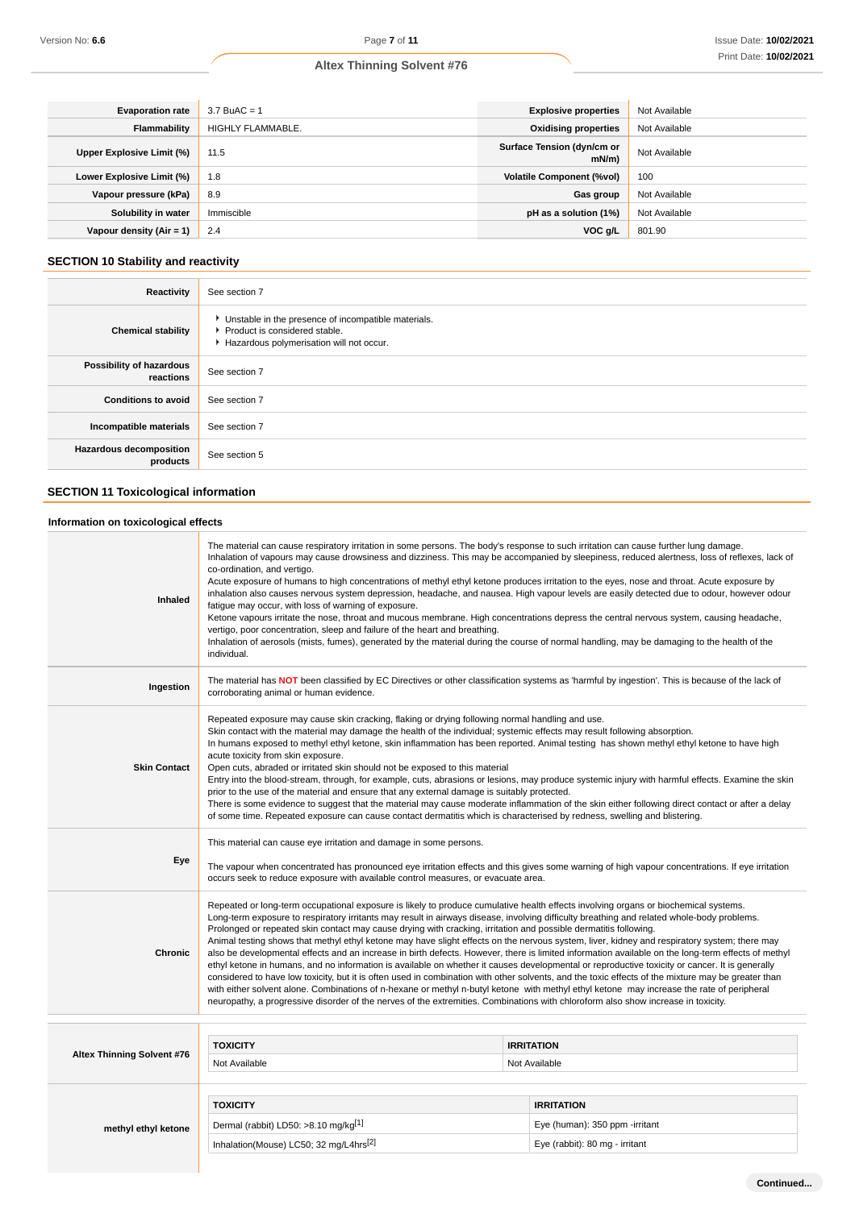| <b>Evaporation rate</b>   | $3.7$ BuAC = 1    | <b>Explosive properties</b>            | Not Available |
|---------------------------|-------------------|----------------------------------------|---------------|
| Flammability              | HIGHLY FLAMMABLE. | <b>Oxidising properties</b>            | Not Available |
| Upper Explosive Limit (%) | 11.5              | Surface Tension (dyn/cm or<br>$mN/m$ ) | Not Available |
| Lower Explosive Limit (%) | 1.8               | <b>Volatile Component (%vol)</b>       | 100           |
| Vapour pressure (kPa)     | 8.9               | Gas group                              | Not Available |
| Solubility in water       | Immiscible        | pH as a solution (1%)                  | Not Available |
| Vapour density (Air = 1)  | 2.4               | VOC g/L                                | 801.90        |

# **SECTION 10 Stability and reactivity**

| Reactivity                                 | See section 7                                                                                                                        |
|--------------------------------------------|--------------------------------------------------------------------------------------------------------------------------------------|
| <b>Chemical stability</b>                  | • Unstable in the presence of incompatible materials.<br>▶ Product is considered stable.<br>Hazardous polymerisation will not occur. |
| Possibility of hazardous<br>reactions      | See section 7                                                                                                                        |
| <b>Conditions to avoid</b>                 | See section 7                                                                                                                        |
| Incompatible materials                     | See section 7                                                                                                                        |
| <b>Hazardous decomposition</b><br>products | See section 5                                                                                                                        |

# **SECTION 11 Toxicological information**

# **Information on toxicological effects**

| Inhaled                    | The material can cause respiratory irritation in some persons. The body's response to such irritation can cause further lung damage.<br>Inhalation of vapours may cause drowsiness and dizziness. This may be accompanied by sleepiness, reduced alertness, loss of reflexes, lack of<br>co-ordination, and vertigo.<br>Acute exposure of humans to high concentrations of methyl ethyl ketone produces irritation to the eyes, nose and throat. Acute exposure by<br>inhalation also causes nervous system depression, headache, and nausea. High vapour levels are easily detected due to odour, however odour<br>fatigue may occur, with loss of warning of exposure.<br>Ketone vapours irritate the nose, throat and mucous membrane. High concentrations depress the central nervous system, causing headache,<br>vertigo, poor concentration, sleep and failure of the heart and breathing.<br>Inhalation of aerosols (mists, fumes), generated by the material during the course of normal handling, may be damaging to the health of the<br>individual.                                                                                                                                                                                                                                       |                                    |  |  |
|----------------------------|-------------------------------------------------------------------------------------------------------------------------------------------------------------------------------------------------------------------------------------------------------------------------------------------------------------------------------------------------------------------------------------------------------------------------------------------------------------------------------------------------------------------------------------------------------------------------------------------------------------------------------------------------------------------------------------------------------------------------------------------------------------------------------------------------------------------------------------------------------------------------------------------------------------------------------------------------------------------------------------------------------------------------------------------------------------------------------------------------------------------------------------------------------------------------------------------------------------------------------------------------------------------------------------------------------|------------------------------------|--|--|
| Ingestion                  | The material has NOT been classified by EC Directives or other classification systems as 'harmful by ingestion'. This is because of the lack of<br>corroborating animal or human evidence.                                                                                                                                                                                                                                                                                                                                                                                                                                                                                                                                                                                                                                                                                                                                                                                                                                                                                                                                                                                                                                                                                                            |                                    |  |  |
| <b>Skin Contact</b>        | Repeated exposure may cause skin cracking, flaking or drying following normal handling and use.<br>Skin contact with the material may damage the health of the individual; systemic effects may result following absorption.<br>In humans exposed to methyl ethyl ketone, skin inflammation has been reported. Animal testing has shown methyl ethyl ketone to have high<br>acute toxicity from skin exposure.<br>Open cuts, abraded or irritated skin should not be exposed to this material<br>Entry into the blood-stream, through, for example, cuts, abrasions or lesions, may produce systemic injury with harmful effects. Examine the skin<br>prior to the use of the material and ensure that any external damage is suitably protected.<br>There is some evidence to suggest that the material may cause moderate inflammation of the skin either following direct contact or after a delay<br>of some time. Repeated exposure can cause contact dermatitis which is characterised by redness, swelling and blistering.                                                                                                                                                                                                                                                                     |                                    |  |  |
| Eye                        | This material can cause eye irritation and damage in some persons.<br>The vapour when concentrated has pronounced eye irritation effects and this gives some warning of high vapour concentrations. If eye irritation<br>occurs seek to reduce exposure with available control measures, or evacuate area.                                                                                                                                                                                                                                                                                                                                                                                                                                                                                                                                                                                                                                                                                                                                                                                                                                                                                                                                                                                            |                                    |  |  |
| <b>Chronic</b>             | Repeated or long-term occupational exposure is likely to produce cumulative health effects involving organs or biochemical systems.<br>Long-term exposure to respiratory irritants may result in airways disease, involving difficulty breathing and related whole-body problems.<br>Prolonged or repeated skin contact may cause drying with cracking, irritation and possible dermatitis following.<br>Animal testing shows that methyl ethyl ketone may have slight effects on the nervous system, liver, kidney and respiratory system; there may<br>also be developmental effects and an increase in birth defects. However, there is limited information available on the long-term effects of methyl<br>ethyl ketone in humans, and no information is available on whether it causes developmental or reproductive toxicity or cancer. It is generally<br>considered to have low toxicity, but it is often used in combination with other solvents, and the toxic effects of the mixture may be greater than<br>with either solvent alone. Combinations of n-hexane or methyl n-butyl ketone with methyl ethyl ketone may increase the rate of peripheral<br>neuropathy, a progressive disorder of the nerves of the extremities. Combinations with chloroform also show increase in toxicity. |                                    |  |  |
|                            |                                                                                                                                                                                                                                                                                                                                                                                                                                                                                                                                                                                                                                                                                                                                                                                                                                                                                                                                                                                                                                                                                                                                                                                                                                                                                                       |                                    |  |  |
| Altex Thinning Solvent #76 | <b>TOXICITY</b><br>Not Available                                                                                                                                                                                                                                                                                                                                                                                                                                                                                                                                                                                                                                                                                                                                                                                                                                                                                                                                                                                                                                                                                                                                                                                                                                                                      | <b>IRRITATION</b><br>Not Available |  |  |
|                            |                                                                                                                                                                                                                                                                                                                                                                                                                                                                                                                                                                                                                                                                                                                                                                                                                                                                                                                                                                                                                                                                                                                                                                                                                                                                                                       |                                    |  |  |
|                            | <b>TOXICITY</b>                                                                                                                                                                                                                                                                                                                                                                                                                                                                                                                                                                                                                                                                                                                                                                                                                                                                                                                                                                                                                                                                                                                                                                                                                                                                                       | <b>IRRITATION</b>                  |  |  |
| methyl ethyl ketone        | Dermal (rabbit) LD50: >8.10 mg/kg <sup>[1]</sup>                                                                                                                                                                                                                                                                                                                                                                                                                                                                                                                                                                                                                                                                                                                                                                                                                                                                                                                                                                                                                                                                                                                                                                                                                                                      | Eye (human): 350 ppm -irritant     |  |  |
|                            | Inhalation(Mouse) LC50; 32 mg/L4hrs <sup>[2]</sup>                                                                                                                                                                                                                                                                                                                                                                                                                                                                                                                                                                                                                                                                                                                                                                                                                                                                                                                                                                                                                                                                                                                                                                                                                                                    | Eye (rabbit): 80 mg - irritant     |  |  |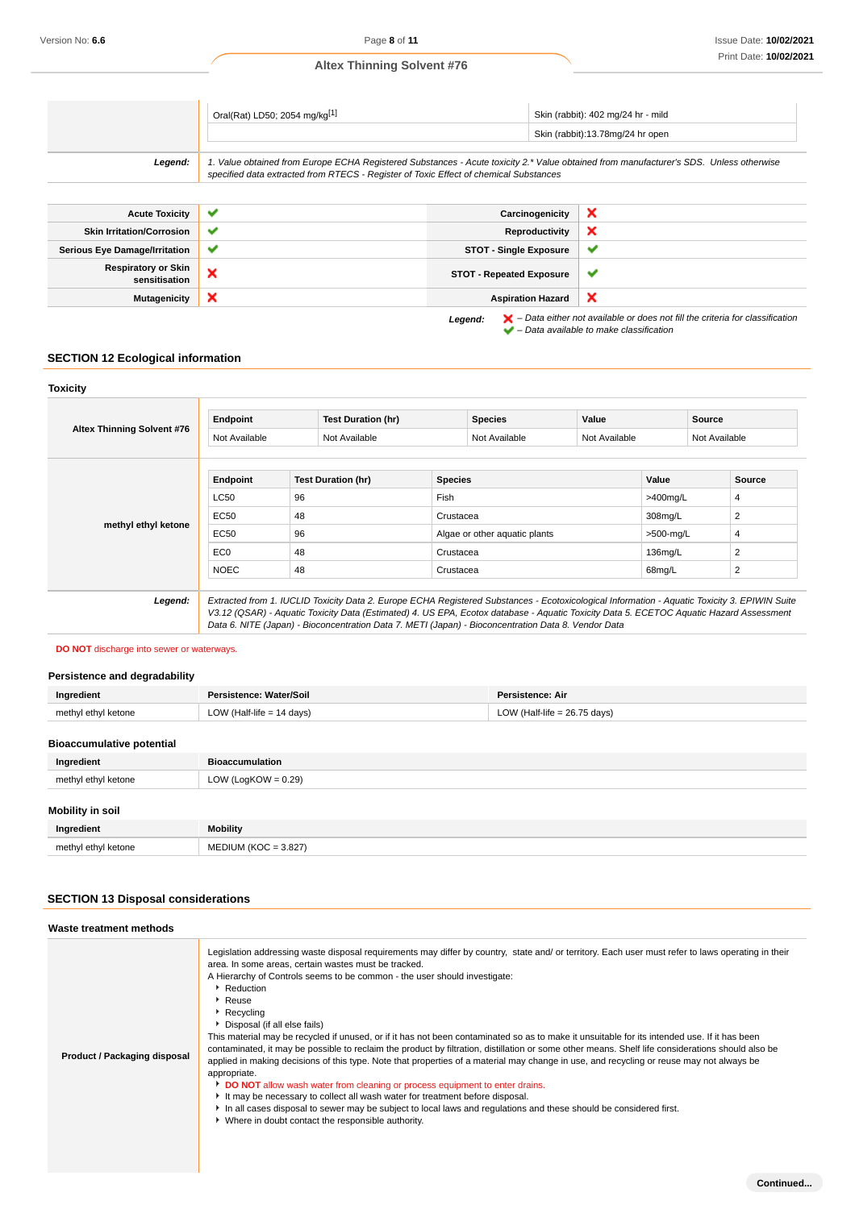|                       | Oral(Rat) LD50; 2054 mg/kg[1]                                                                                                                                                                                                   |                 | Skin (rabbit): 402 mg/24 hr - mild<br>Skin (rabbit):13.78mg/24 hr open |
|-----------------------|---------------------------------------------------------------------------------------------------------------------------------------------------------------------------------------------------------------------------------|-----------------|------------------------------------------------------------------------|
| Legend:               | 1. Value obtained from Europe ECHA Registered Substances - Acute toxicity 2.* Value obtained from manufacturer's SDS. Unless otherwise<br>specified data extracted from RTECS - Register of Toxic Effect of chemical Substances |                 |                                                                        |
|                       |                                                                                                                                                                                                                                 |                 |                                                                        |
| <b>Acute Toxicity</b> |                                                                                                                                                                                                                                 | Carcinogenicity |                                                                        |

| .                                           |              |                                 |                                                                                                                                                                     |
|---------------------------------------------|--------------|---------------------------------|---------------------------------------------------------------------------------------------------------------------------------------------------------------------|
| <b>Skin Irritation/Corrosion</b>            | $\checkmark$ | Reproductivity                  | ×                                                                                                                                                                   |
| <b>Serious Eye Damage/Irritation</b>        | $\checkmark$ | <b>STOT - Single Exposure</b>   | v                                                                                                                                                                   |
| <b>Respiratory or Skin</b><br>sensitisation | ×            | <b>STOT - Repeated Exposure</b> | w                                                                                                                                                                   |
| <b>Mutagenicity</b>                         | ×            | <b>Aspiration Hazard</b>        | ×                                                                                                                                                                   |
|                                             |              | Legend:                         | $\blacktriangleright$ - Data either not available or does not fill the criteria for classification<br>$\blacktriangleright$ - Data available to make classification |

# **SECTION 12 Ecological information**

| <b>Toxicity</b>            |                 |                                                                                                                                                                                                                                                                                                                                                                                                 |                |                               |               |           |               |                |
|----------------------------|-----------------|-------------------------------------------------------------------------------------------------------------------------------------------------------------------------------------------------------------------------------------------------------------------------------------------------------------------------------------------------------------------------------------------------|----------------|-------------------------------|---------------|-----------|---------------|----------------|
| Altex Thinning Solvent #76 | Endpoint        | <b>Test Duration (hr)</b>                                                                                                                                                                                                                                                                                                                                                                       |                | <b>Species</b>                | Value         |           | <b>Source</b> |                |
|                            | Not Available   | Not Available                                                                                                                                                                                                                                                                                                                                                                                   |                | Not Available                 | Not Available |           | Not Available |                |
|                            | Endpoint        | <b>Test Duration (hr)</b>                                                                                                                                                                                                                                                                                                                                                                       | <b>Species</b> |                               |               | Value     |               | Source         |
|                            | <b>LC50</b>     | 96                                                                                                                                                                                                                                                                                                                                                                                              | Fish           |                               |               |           | >400mg/L      | 4              |
|                            | EC50            | 48                                                                                                                                                                                                                                                                                                                                                                                              |                | Crustacea                     |               | 308mg/L   |               | 2              |
| methyl ethyl ketone        | EC50            | 96                                                                                                                                                                                                                                                                                                                                                                                              |                | Algae or other aquatic plants |               | >500-mg/L |               | 4              |
|                            | EC <sub>0</sub> | 48                                                                                                                                                                                                                                                                                                                                                                                              |                | Crustacea                     |               | 136mg/L   |               | 2              |
|                            | <b>NOEC</b>     | 48                                                                                                                                                                                                                                                                                                                                                                                              | Crustacea      |                               |               | 68mg/L    |               | $\overline{2}$ |
|                            |                 |                                                                                                                                                                                                                                                                                                                                                                                                 |                |                               |               |           |               |                |
| Legend:                    |                 | Extracted from 1. IUCLID Toxicity Data 2. Europe ECHA Registered Substances - Ecotoxicological Information - Aquatic Toxicity 3. EPIWIN Suite<br>V3.12 (QSAR) - Aquatic Toxicity Data (Estimated) 4. US EPA, Ecotox database - Aquatic Toxicity Data 5. ECETOC Aquatic Hazard Assessment<br>Data 6. NITE (Japan) - Bioconcentration Data 7. METI (Japan) - Bioconcentration Data 8. Vendor Data |                |                               |               |           |               |                |

**DO NOT** discharge into sewer or waterways.

# **Persistence and degradability**

| Ingredient                       | Persistence: Water/Soil     | <b>Persistence: Air</b>        |
|----------------------------------|-----------------------------|--------------------------------|
| methyl ethyl ketone              | LOW (Half-life $= 14$ days) | LOW (Half-life $= 26.75$ days) |
| <b>Bioaccumulative potential</b> |                             |                                |
| Ingredient                       | <b>Bioaccumulation</b>      |                                |
| methyl ethyl ketone              | LOW (LogKOW = $0.29$ )      |                                |
| Mobility in soil                 |                             |                                |
| Ingredient                       | <b>Mobility</b>             |                                |
| methyl ethyl ketone              | $MEDIUM (KOC = 3.827)$      |                                |

# **SECTION 13 Disposal considerations**

| Waste treatment methods      |                                                                                                                                                                                                                                                                                                                                                                                                                                                                                                                                                                                                                                                                                                                                                                                                                                                                                                                                                                                                                                                                                                                                                                                             |
|------------------------------|---------------------------------------------------------------------------------------------------------------------------------------------------------------------------------------------------------------------------------------------------------------------------------------------------------------------------------------------------------------------------------------------------------------------------------------------------------------------------------------------------------------------------------------------------------------------------------------------------------------------------------------------------------------------------------------------------------------------------------------------------------------------------------------------------------------------------------------------------------------------------------------------------------------------------------------------------------------------------------------------------------------------------------------------------------------------------------------------------------------------------------------------------------------------------------------------|
| Product / Packaging disposal | Legislation addressing waste disposal requirements may differ by country, state and/ or territory. Each user must refer to laws operating in their<br>area. In some areas, certain wastes must be tracked.<br>A Hierarchy of Controls seems to be common - the user should investigate:<br>Reduction<br>▶ Reuse<br>$\triangleright$ Recycling<br>▶ Disposal (if all else fails)<br>This material may be recycled if unused, or if it has not been contaminated so as to make it unsuitable for its intended use. If it has been<br>contaminated, it may be possible to reclaim the product by filtration, distillation or some other means. Shelf life considerations should also be<br>applied in making decisions of this type. Note that properties of a material may change in use, and recycling or reuse may not always be<br>appropriate.<br>DO NOT allow wash water from cleaning or process equipment to enter drains.<br>It may be necessary to collect all wash water for treatment before disposal.<br>In all cases disposal to sewer may be subject to local laws and regulations and these should be considered first.<br>• Where in doubt contact the responsible authority. |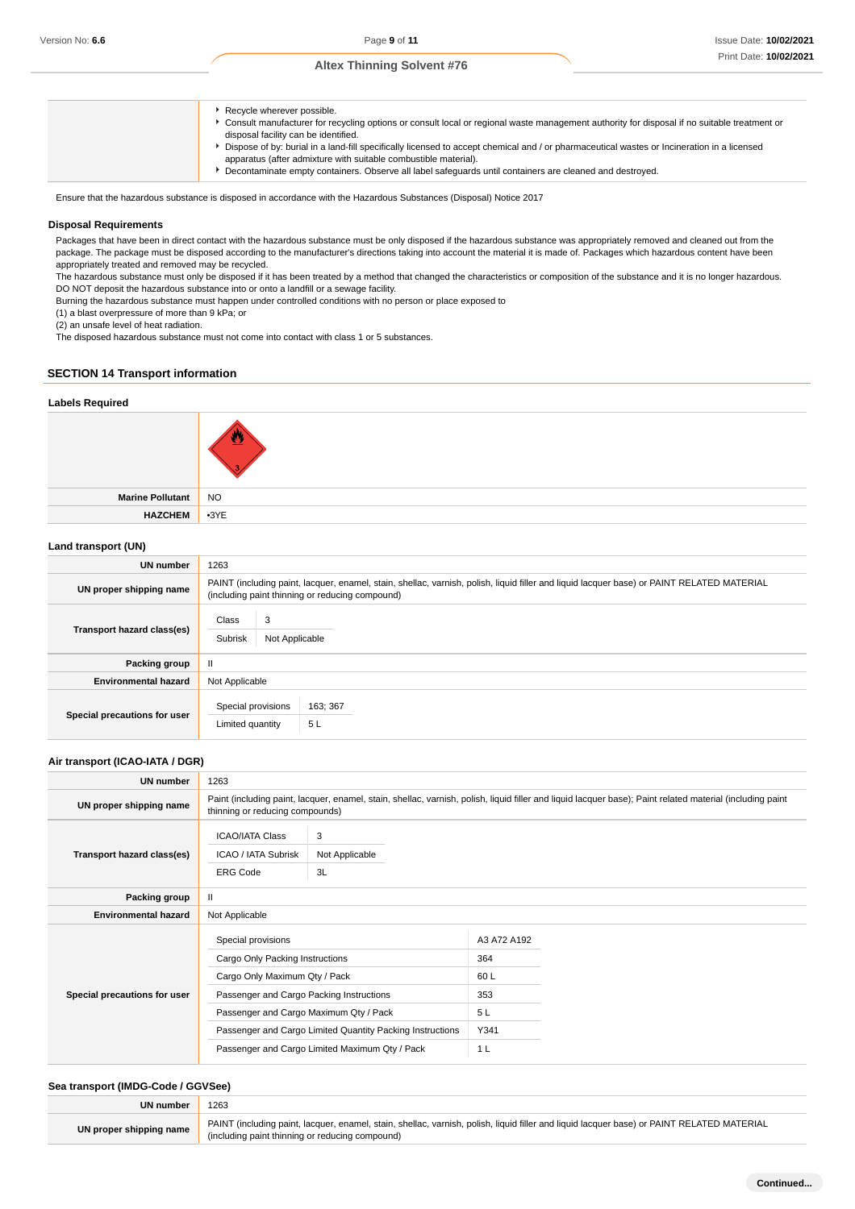- **Recycle wherever possible. Figure manufacturer for recycling options or consult local or regional waste management authority for disposal if no suitable treatment or** disposal facility can be identified. Dispose of by: burial in a land-fill specifically licensed to accept chemical and / or pharmaceutical wastes or Incineration in a licensed apparatus (after admixture with suitable combustible material).
	- Decontaminate empty containers. Observe all label safeguards until containers are cleaned and destroyed.

Ensure that the hazardous substance is disposed in accordance with the Hazardous Substances (Disposal) Notice 2017

### **Disposal Requirements**

Packages that have been in direct contact with the hazardous substance must be only disposed if the hazardous substance was appropriately removed and cleaned out from the package. The package must be disposed according to the manufacturer's directions taking into account the material it is made of. Packages which hazardous content have been appropriately treated and removed may be recycled.

The hazardous substance must only be disposed if it has been treated by a method that changed the characteristics or composition of the substance and it is no longer hazardous. DO NOT deposit the hazardous substance into or onto a landfill or a sewage facility.

Burning the hazardous substance must happen under controlled conditions with no person or place exposed to

(1) a blast overpressure of more than 9 kPa; or

(2) an unsafe level of heat radiation.

The disposed hazardous substance must not come into contact with class 1 or 5 substances.

### **SECTION 14 Transport information**

### **Labels Required**



**Marine Pollutant** NO **HAZCHEM** •3YE

#### **Land transport (UN)**

| UN number                    | 1263                                    |                                                                                                                                                                                               |  |  |  |  |
|------------------------------|-----------------------------------------|-----------------------------------------------------------------------------------------------------------------------------------------------------------------------------------------------|--|--|--|--|
| UN proper shipping name      |                                         | PAINT (including paint, lacquer, enamel, stain, shellac, varnish, polish, liquid filler and liquid lacquer base) or PAINT RELATED MATERIAL<br>(including paint thinning or reducing compound) |  |  |  |  |
| Transport hazard class(es)   | 3<br>Class<br>Subrisk<br>Not Applicable |                                                                                                                                                                                               |  |  |  |  |
| Packing group                | Ш                                       |                                                                                                                                                                                               |  |  |  |  |
| <b>Environmental hazard</b>  | Not Applicable                          |                                                                                                                                                                                               |  |  |  |  |
| Special precautions for user | Special provisions<br>Limited quantity  | 163; 367<br>5L                                                                                                                                                                                |  |  |  |  |

### **Air transport (ICAO-IATA / DGR)**

| UN number                    | 1263                                                             |                                                                                                                                                                                              |                    |  |
|------------------------------|------------------------------------------------------------------|----------------------------------------------------------------------------------------------------------------------------------------------------------------------------------------------|--------------------|--|
| UN proper shipping name      |                                                                  | Paint (including paint, lacquer, enamel, stain, shellac, varnish, polish, liquid filler and liquid lacquer base); Paint related material (including paint<br>thinning or reducing compounds) |                    |  |
| Transport hazard class(es)   | <b>ICAO/IATA Class</b><br>ICAO / IATA Subrisk<br><b>ERG Code</b> | 3<br>Not Applicable<br>3L                                                                                                                                                                    |                    |  |
| Packing group                | $\mathbf{H}$                                                     |                                                                                                                                                                                              |                    |  |
| <b>Environmental hazard</b>  | Not Applicable                                                   |                                                                                                                                                                                              |                    |  |
|                              | Special provisions<br>Cargo Only Packing Instructions            |                                                                                                                                                                                              | A3 A72 A192<br>364 |  |
|                              | Cargo Only Maximum Qty / Pack                                    |                                                                                                                                                                                              | 60 L               |  |
| Special precautions for user | Passenger and Cargo Packing Instructions                         |                                                                                                                                                                                              | 353                |  |
|                              | Passenger and Cargo Maximum Qty / Pack                           |                                                                                                                                                                                              | 5L                 |  |
|                              |                                                                  | Passenger and Cargo Limited Quantity Packing Instructions                                                                                                                                    | Y341               |  |
|                              | Passenger and Cargo Limited Maximum Qty / Pack                   |                                                                                                                                                                                              | 1 <sub>L</sub>     |  |

### **Sea transport (IMDG-Code / GGVSee)**

| UN number               | 1263                                                                                                                                                                                          |
|-------------------------|-----------------------------------------------------------------------------------------------------------------------------------------------------------------------------------------------|
| UN proper shipping name | PAINT (including paint, lacquer, enamel, stain, shellac, varnish, polish, liquid filler and liquid lacquer base) or PAINT RELATED MATERIAL<br>(including paint thinning or reducing compound) |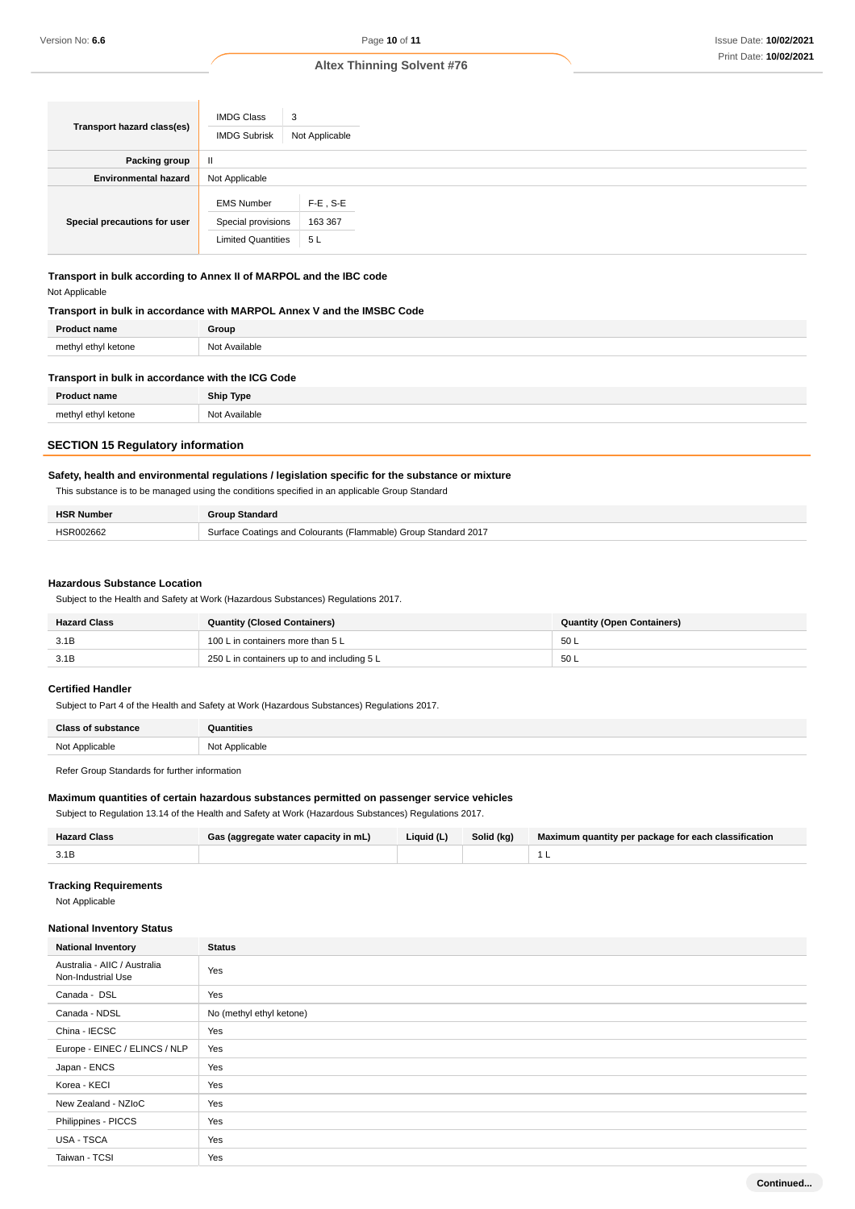| Transport hazard class(es)   | <b>IMDG Class</b><br><b>IMDG Subrisk</b>                             | 3<br>Not Applicable          |
|------------------------------|----------------------------------------------------------------------|------------------------------|
| Packing group                | $\mathbf{II}$                                                        |                              |
| <b>Environmental hazard</b>  | Not Applicable                                                       |                              |
| Special precautions for user | <b>EMS Number</b><br>Special provisions<br><b>Limited Quantities</b> | $F-E$ , S-E<br>163 367<br>5L |

**Transport in bulk according to Annex II of MARPOL and the IBC code** Not Applicable

### **Transport in bulk in accordance with MARPOL Annex V and the IMSBC Code**

| <b>Droduc</b><br>ıame     | Group                                  |
|---------------------------|----------------------------------------|
| methyl etł<br>ketone<br>. | N <sub>0</sub><br><b>vailable</b><br>້ |

| Transport in bulk in accordance with the ICG Code |                  |  |
|---------------------------------------------------|------------------|--|
| <b>Product name</b>                               | <b>Ship Type</b> |  |
| methyl ethyl ketone                               | Not Available    |  |

# **SECTION 15 Regulatory information**

### **Safety, health and environmental regulations / legislation specific for the substance or mixture**

This substance is to be managed using the conditions specified in an applicable Group Standard

| <b>HSR Number</b> | <b>Rife Standard</b>                                            |
|-------------------|-----------------------------------------------------------------|
|                   | Surface Coatings and Colourants (Flammable) Group Standard 2017 |

### **Hazardous Substance Location**

Subject to the Health and Safety at Work (Hazardous Substances) Regulations 2017.

| <b>Hazard Class</b> | <b>Quantity (Closed Containers)</b>         | <b>Quantity (Open Containers)</b> |
|---------------------|---------------------------------------------|-----------------------------------|
| 3.1B                | 100 L in containers more than 5 L           | 50L                               |
| 3.1B                | 250 L in containers up to and including 5 L | 50L                               |

# **Certified Handler**

Subject to Part 4 of the Health and Safety at Work (Hazardous Substances) Regulations 2017.

| <b>Class of substance</b> | antities                |
|---------------------------|-------------------------|
| Not Applicable            | Not Applicable<br>----- |

Refer Group Standards for further information

### **Maximum quantities of certain hazardous substances permitted on passenger service vehicles**

Subject to Regulation 13.14 of the Health and Safety at Work (Hazardous Substances) Regulations 2017.

| <b>Hazard Class</b> | Gas (aggregate water capacity in mL) | Liquid (L) | Solid (kg) | Maximum quantity per package for each classification |
|---------------------|--------------------------------------|------------|------------|------------------------------------------------------|
| 3.1B                |                                      |            |            |                                                      |

# **Tracking Requirements**

Not Applicable

### **National Inventory Status**

| <b>National Inventory</b>                          | <b>Status</b>            |
|----------------------------------------------------|--------------------------|
| Australia - AIIC / Australia<br>Non-Industrial Use | Yes                      |
| Canada - DSL                                       | Yes                      |
| Canada - NDSL                                      | No (methyl ethyl ketone) |
| China - IECSC                                      | Yes                      |
| Europe - EINEC / ELINCS / NLP                      | Yes                      |
| Japan - ENCS                                       | Yes                      |
| Korea - KECI                                       | Yes                      |
| New Zealand - NZIoC                                | Yes                      |
| Philippines - PICCS                                | Yes                      |
| USA - TSCA                                         | Yes                      |
| Taiwan - TCSI                                      | Yes                      |